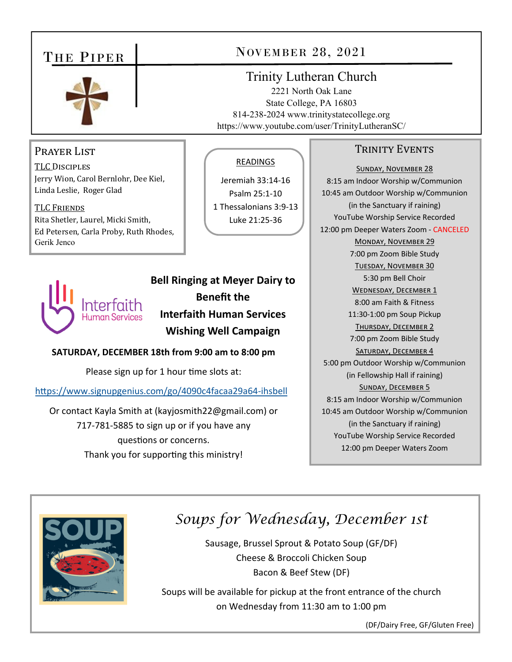## THE PIPER



#### PRAYER LIST

TLC DISCIPLES Jerry Wion, Carol Bernlohr, Dee Kiel, Linda Leslie, Roger Glad

TLC FRIENDS Rita Shetler, Laurel, Micki Smith, Ed Petersen, Carla Proby, Ruth Rhodes, Gerik Jenco



**Bell Ringing at Meyer Dairy to Benefit the Interfaith Human Services Wishing Well Campaign** 

READINGS

Jeremiah 33:14‐16 Psalm 25:1‐10 1 Thessalonians 3:9‐13 Luke 21:25‐36

**SATURDAY, DECEMBER 18th from 9:00 am to 8:00 pm** 

Please sign up for 1 hour time slots at:

https://www.signupgenius.com/go/4090c4facaa29a64-ihsbell

Or contact Kayla Smith at (kayjosmith22@gmail.com) or 717‐781‐5885 to sign up or if you have any questions or concerns. Thank you for supporting this ministry!

## NOVEMBER 28, 2021

### Trinity Lutheran Church

2221 North Oak Lane State College, PA 16803 814-238-2024 www.trinitystatecollege.org https://www.youtube.com/user/TrinityLutheranSC/

#### TRINITY EVENTS

SUNDAY, NOVEMBER 28 8:15 am Indoor Worship w/Communion 10:45 am Outdoor Worship w/Communion (in the Sanctuary if raining) YouTube Worship Service Recorded 12:00 pm Deeper Waters Zoom ‐ CANCELED MONDAY, NOVEMBER 29 7:00 pm Zoom Bible Study TUESDAY, NOVEMBER 30 5:30 pm Bell Choir WEDNESDAY, DECEMBER 1 8:00 am Faith & Fitness 11:30‐1:00 pm Soup Pickup THURSDAY, DECEMBER 2 7:00 pm Zoom Bible Study SATURDAY, DECEMBER 4 5:00 pm Outdoor Worship w/Communion (in Fellowship Hall if raining) SUNDAY, DECEMBER 5 8:15 am Indoor Worship w/Communion 10:45 am Outdoor Worship w/Communion (in the Sanctuary if raining) YouTube Worship Service Recorded 12:00 pm Deeper Waters Zoom



# *Soups for Wednesday, December 1st*

Sausage, Brussel Sprout & Potato Soup (GF/DF) Cheese & Broccoli Chicken Soup Bacon & Beef Stew (DF)

Soups will be available for pickup at the front entrance of the church on Wednesday from 11:30 am to 1:00 pm

(DF/Dairy Free, GF/Gluten Free)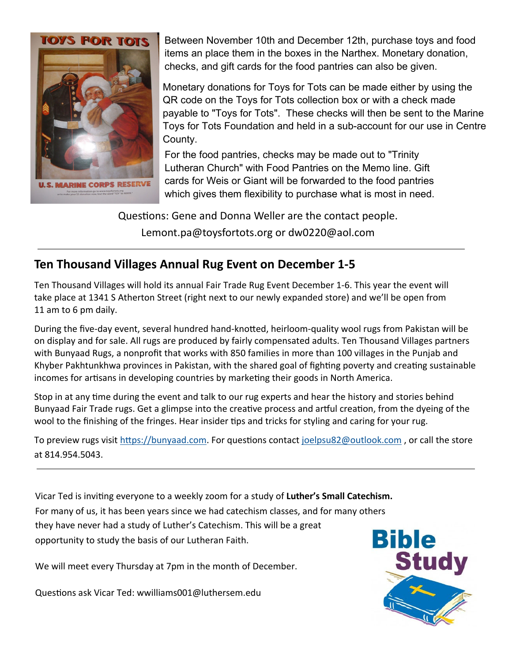

Between November 10th and December 12th, purchase toys and food items an place them in the boxes in the Narthex. Monetary donation, checks, and gift cards for the food pantries can also be given.

Monetary donations for Toys for Tots can be made either by using the QR code on the Toys for Tots collection box or with a check made payable to "Toys for Tots". These checks will then be sent to the Marine Toys for Tots Foundation and held in a sub-account for our use in Centre County.

For the food pantries, checks may be made out to "Trinity Lutheran Church" with Food Pantries on the Memo line. Gift cards for Weis or Giant will be forwarded to the food pantries which gives them flexibility to purchase what is most in need.

Questions: Gene and Donna Weller are the contact people. Lemont.pa@toysfortots.org or dw0220@aol.com

## **Ten Thousand Villages Annual Rug Event on December 1‐5**

Ten Thousand Villages will hold its annual Fair Trade Rug Event December 1‐6. This year the event will take place at 1341 S Atherton Street (right next to our newly expanded store) and we'll be open from 11 am to 6 pm daily.

During the five-day event, several hundred hand-knotted, heirloom-quality wool rugs from Pakistan will be on display and for sale. All rugs are produced by fairly compensated adults. Ten Thousand Villages partners with Bunyaad Rugs, a nonprofit that works with 850 families in more than 100 villages in the Punjab and Khyber Pakhtunkhwa provinces in Pakistan, with the shared goal of fighting poverty and creating sustainable incomes for artisans in developing countries by marketing their goods in North America.

Stop in at any time during the event and talk to our rug experts and hear the history and stories behind Bunyaad Fair Trade rugs. Get a glimpse into the creative process and artful creation, from the dyeing of the wool to the finishing of the fringes. Hear insider tips and tricks for styling and caring for your rug.

To preview rugs visit https://bunyaad.com. For questions contact joelpsu82@outlook.com, or call the store at 814.954.5043.

Vicar Ted is inviƟng everyone to a weekly zoom for a study of **Luther's Small Catechism.**  For many of us, it has been years since we had catechism classes, and for many others they have never had a study of Luther's Catechism. This will be a great opportunity to study the basis of our Lutheran Faith.

We will meet every Thursday at 7pm in the month of December.

Questions ask Vicar Ted: wwilliams001@luthersem.edu